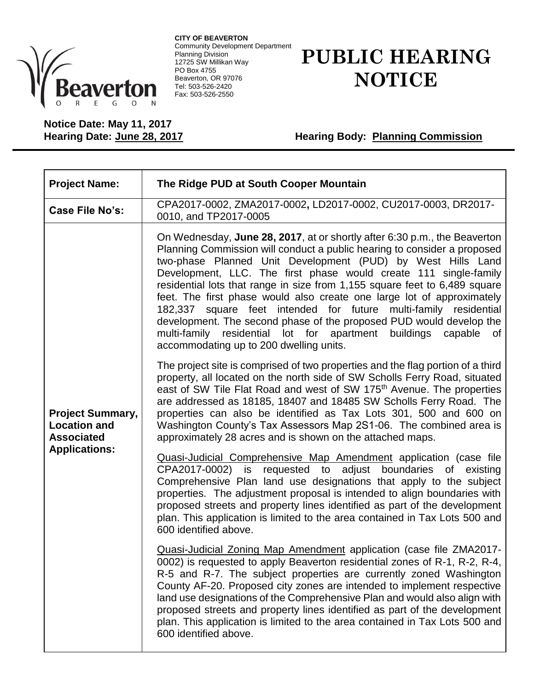

**CITY OF BEAVERTON** Community Development Department Planning Division 12725 SW Millikan Way PO Box 4755 Beaverton, OR 97076 Tel: 503-526-2420 Fax: 503-526-2550

## **PUBLIC HEARING NOTICE**

**Notice Date: May 11, 2017**

**Hearing Body: Planning Commission** 

| <b>Project Name:</b>                                                                        | The Ridge PUD at South Cooper Mountain                                                                                                                                                                                                                                                                                                                                                                                                                                                                                                                                                                                                                                                                       |
|---------------------------------------------------------------------------------------------|--------------------------------------------------------------------------------------------------------------------------------------------------------------------------------------------------------------------------------------------------------------------------------------------------------------------------------------------------------------------------------------------------------------------------------------------------------------------------------------------------------------------------------------------------------------------------------------------------------------------------------------------------------------------------------------------------------------|
| Case File No's:                                                                             | CPA2017-0002, ZMA2017-0002, LD2017-0002, CU2017-0003, DR2017-<br>0010, and TP2017-0005                                                                                                                                                                                                                                                                                                                                                                                                                                                                                                                                                                                                                       |
| <b>Project Summary,</b><br><b>Location and</b><br><b>Associated</b><br><b>Applications:</b> | On Wednesday, June 28, 2017, at or shortly after 6:30 p.m., the Beaverton<br>Planning Commission will conduct a public hearing to consider a proposed<br>two-phase Planned Unit Development (PUD) by West Hills Land<br>Development, LLC. The first phase would create 111 single-family<br>residential lots that range in size from 1,155 square feet to 6,489 square<br>feet. The first phase would also create one large lot of approximately<br>182,337 square feet intended for future multi-family residential<br>development. The second phase of the proposed PUD would develop the<br>multi-family residential lot for apartment buildings capable<br>0f<br>accommodating up to 200 dwelling units. |
|                                                                                             | The project site is comprised of two properties and the flag portion of a third<br>property, all located on the north side of SW Scholls Ferry Road, situated<br>east of SW Tile Flat Road and west of SW 175 <sup>th</sup> Avenue. The properties<br>are addressed as 18185, 18407 and 18485 SW Scholls Ferry Road. The<br>properties can also be identified as Tax Lots 301, 500 and 600 on<br>Washington County's Tax Assessors Map 2S1-06. The combined area is<br>approximately 28 acres and is shown on the attached maps.                                                                                                                                                                             |
|                                                                                             | Quasi-Judicial Comprehensive Map Amendment application (case file<br>CPA2017-0002) is requested to adjust boundaries of existing<br>Comprehensive Plan land use designations that apply to the subject<br>properties. The adjustment proposal is intended to align boundaries with<br>proposed streets and property lines identified as part of the development<br>plan. This application is limited to the area contained in Tax Lots 500 and<br>600 identified above.                                                                                                                                                                                                                                      |
|                                                                                             | Quasi-Judicial Zoning Map Amendment application (case file ZMA2017-<br>0002) is requested to apply Beaverton residential zones of R-1, R-2, R-4,<br>R-5 and R-7. The subject properties are currently zoned Washington<br>County AF-20. Proposed city zones are intended to implement respective<br>land use designations of the Comprehensive Plan and would also align with<br>proposed streets and property lines identified as part of the development<br>plan. This application is limited to the area contained in Tax Lots 500 and<br>600 identified above.                                                                                                                                           |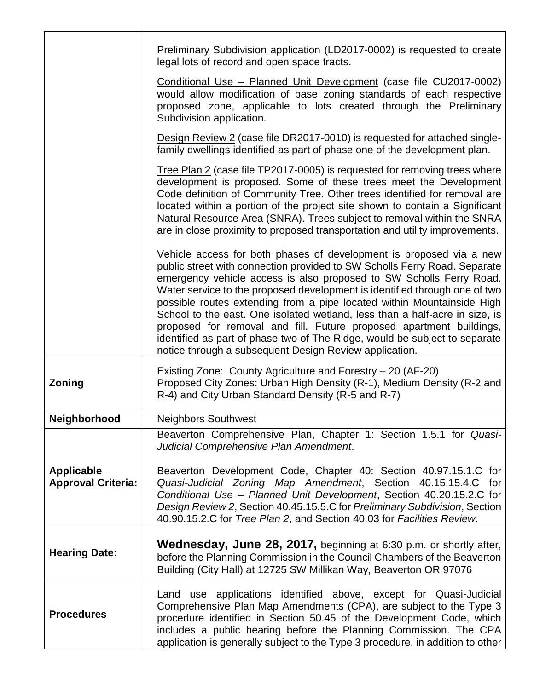|                                                | <b>Preliminary Subdivision application (LD2017-0002) is requested to create</b><br>legal lots of record and open space tracts.                                                                                                                                                                                                                                                                                                                                                                                                                                                                                                                                                |
|------------------------------------------------|-------------------------------------------------------------------------------------------------------------------------------------------------------------------------------------------------------------------------------------------------------------------------------------------------------------------------------------------------------------------------------------------------------------------------------------------------------------------------------------------------------------------------------------------------------------------------------------------------------------------------------------------------------------------------------|
|                                                | Conditional Use - Planned Unit Development (case file CU2017-0002)<br>would allow modification of base zoning standards of each respective<br>proposed zone, applicable to lots created through the Preliminary<br>Subdivision application.                                                                                                                                                                                                                                                                                                                                                                                                                                   |
|                                                | Design Review 2 (case file DR2017-0010) is requested for attached single-<br>family dwellings identified as part of phase one of the development plan.                                                                                                                                                                                                                                                                                                                                                                                                                                                                                                                        |
|                                                | Tree Plan 2 (case file TP2017-0005) is requested for removing trees where<br>development is proposed. Some of these trees meet the Development<br>Code definition of Community Tree. Other trees identified for removal are<br>located within a portion of the project site shown to contain a Significant<br>Natural Resource Area (SNRA). Trees subject to removal within the SNRA<br>are in close proximity to proposed transportation and utility improvements.                                                                                                                                                                                                           |
|                                                | Vehicle access for both phases of development is proposed via a new<br>public street with connection provided to SW Scholls Ferry Road. Separate<br>emergency vehicle access is also proposed to SW Scholls Ferry Road.<br>Water service to the proposed development is identified through one of two<br>possible routes extending from a pipe located within Mountainside High<br>School to the east. One isolated wetland, less than a half-acre in size, is<br>proposed for removal and fill. Future proposed apartment buildings,<br>identified as part of phase two of The Ridge, would be subject to separate<br>notice through a subsequent Design Review application. |
| Zoning                                         | <b>Existing Zone: County Agriculture and Forestry - 20 (AF-20)</b><br>Proposed City Zones: Urban High Density (R-1), Medium Density (R-2 and<br>R-4) and City Urban Standard Density (R-5 and R-7)                                                                                                                                                                                                                                                                                                                                                                                                                                                                            |
| Neighborhood                                   | <b>Neighbors Southwest</b>                                                                                                                                                                                                                                                                                                                                                                                                                                                                                                                                                                                                                                                    |
|                                                | Beaverton Comprehensive Plan, Chapter 1: Section 1.5.1 for Quasi-<br>Judicial Comprehensive Plan Amendment.                                                                                                                                                                                                                                                                                                                                                                                                                                                                                                                                                                   |
| <b>Applicable</b><br><b>Approval Criteria:</b> | Beaverton Development Code, Chapter 40: Section 40.97.15.1.C for<br>Quasi-Judicial Zoning Map Amendment, Section 40.15.15.4.C for<br>Conditional Use - Planned Unit Development, Section 40.20.15.2.C for<br>Design Review 2, Section 40.45.15.5.C for Preliminary Subdivision, Section<br>40.90.15.2.C for Tree Plan 2, and Section 40.03 for Facilities Review.                                                                                                                                                                                                                                                                                                             |
| <b>Hearing Date:</b>                           | Wednesday, June 28, 2017, beginning at 6:30 p.m. or shortly after,<br>before the Planning Commission in the Council Chambers of the Beaverton<br>Building (City Hall) at 12725 SW Millikan Way, Beaverton OR 97076                                                                                                                                                                                                                                                                                                                                                                                                                                                            |
| <b>Procedures</b>                              | Land use applications identified above, except for Quasi-Judicial<br>Comprehensive Plan Map Amendments (CPA), are subject to the Type 3<br>procedure identified in Section 50.45 of the Development Code, which<br>includes a public hearing before the Planning Commission. The CPA<br>application is generally subject to the Type 3 procedure, in addition to other                                                                                                                                                                                                                                                                                                        |